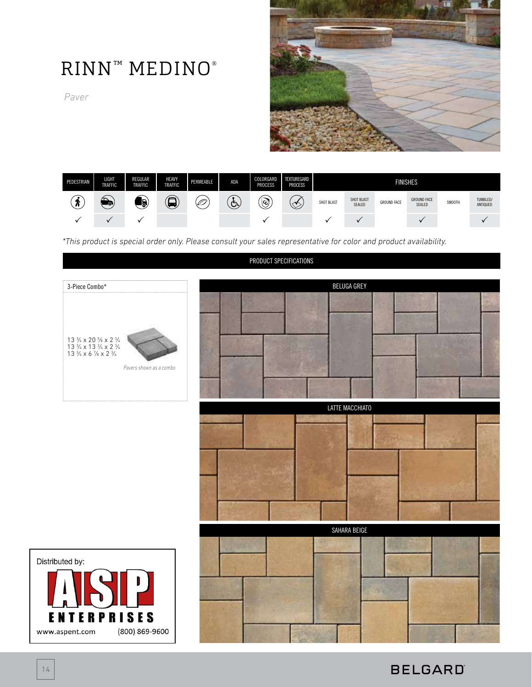# RINN™ MEDINO®

*Paver*





*\*This product is special order only. Please consult your sales representative for color and product availability.*

#### PRODUCT SPECIFICATIONS